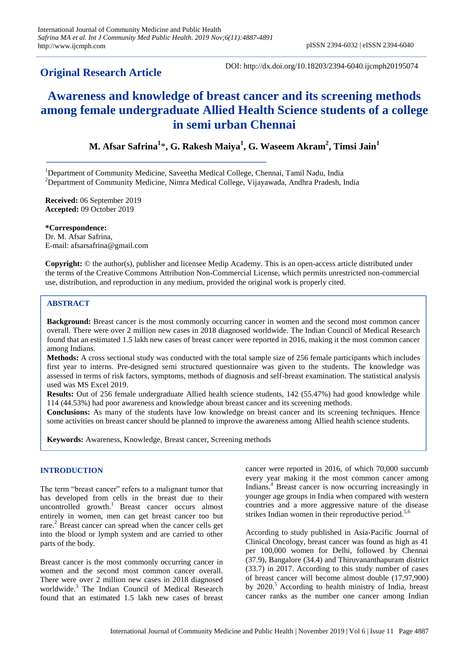# **Original Research Article**

DOI: http://dx.doi.org/10.18203/2394-6040.ijcmph20195074

# **Awareness and knowledge of breast cancer and its screening methods among female undergraduate Allied Health Science students of a college in semi urban Chennai**

**M. Afsar Safrina<sup>1</sup>** \***, G. Rakesh Maiya<sup>1</sup> , G. Waseem Akram<sup>2</sup> , Timsi Jain<sup>1</sup>**

<sup>1</sup>Department of Community Medicine, Saveetha Medical College, Chennai, Tamil Nadu, India <sup>2</sup>Department of Community Medicine, Nimra Medical College, Vijayawada, Andhra Pradesh, India

**Received:** 06 September 2019 **Accepted:** 09 October 2019

**\*Correspondence:** Dr. M. Afsar Safrina, E-mail: afsarsafrina@gmail.com

**Copyright:** © the author(s), publisher and licensee Medip Academy. This is an open-access article distributed under the terms of the Creative Commons Attribution Non-Commercial License, which permits unrestricted non-commercial use, distribution, and reproduction in any medium, provided the original work is properly cited.

# **ABSTRACT**

**Background:** Breast cancer is the most commonly occurring cancer in women and the second most common cancer overall. There were over 2 million new cases in 2018 diagnosed worldwide. The Indian Council of Medical Research found that an estimated 1.5 lakh new cases of breast cancer were reported in 2016, making it the most common cancer among Indians.

**Methods:** A cross sectional study was conducted with the total sample size of 256 female participants which includes first year to interns. Pre-designed semi structured questionnaire was given to the students. The knowledge was assessed in terms of risk factors, symptoms, methods of diagnosis and self-breast examination. The statistical analysis used was MS Excel 2019.

**Results:** Out of 256 female undergraduate Allied health science students, 142 (55.47%) had good knowledge while 114 (44.53%) had poor awareness and knowledge about breast cancer and its screening methods.

**Conclusions:** As many of the students have low knowledge on breast cancer and its screening techniques. Hence some activities on breast cancer should be planned to improve the awareness among Allied health science students.

**Keywords:** Awareness, Knowledge, Breast cancer, Screening methods

## **INTRODUCTION**

The term "breast cancer" refers to a malignant tumor that has developed from cells in the breast due to their uncontrolled growth.<sup>1</sup> Breast cancer occurs almost entirely in women, men can get breast cancer too but rare.<sup>2</sup> Breast cancer can spread when the cancer cells get into the blood or lymph system and are carried to other parts of the body.

Breast cancer is the most commonly occurring cancer in women and the second most common cancer overall. There were over 2 million new cases in 2018 diagnosed worldwide.<sup>3</sup> The Indian Council of Medical Research found that an estimated 1.5 lakh new cases of breast

cancer were reported in 2016, of which 70,000 succumb every year making it the most common cancer among Indians. <sup>4</sup> Breast cancer is now occurring increasingly in younger age groups in India when compared with western countries and a more aggressive nature of the disease strikes Indian women in their reproductive period.<sup>5,6</sup>

According to study published in Asia-Pacific Journal of Clinical Oncology, breast cancer was found as high as 41 per 100,000 women for Delhi, followed by Chennai (37.9), Bangalore (34.4) and Thiruvananthapuram district (33.7) in 2017. According to this study number of cases of breast cancer will become almost double (17,97,900) by 2020.<sup>5</sup> According to health ministry of India, breast cancer ranks as the number one cancer among Indian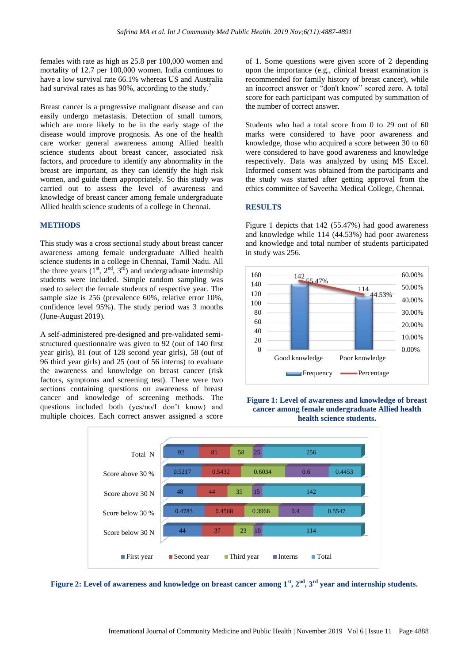females with rate as high as 25.8 per 100,000 women and mortality of 12.7 per 100,000 women. India continues to have a low survival rate 66.1% whereas US and Australia had survival rates as has 90%, according to the study.<sup>7</sup>

Breast cancer is a progressive malignant disease and can easily undergo metastasis. Detection of small tumors, which are more likely to be in the early stage of the disease would improve prognosis. As one of the health care worker general awareness among Allied health science students about breast cancer, associated risk factors, and procedure to identify any abnormality in the breast are important, as they can identify the high risk women, and guide them appropriately. So this study was carried out to assess the level of awareness and knowledge of breast cancer among female undergraduate Allied health science students of a college in Chennai.

#### **METHODS**

This study was a cross sectional study about breast cancer awareness among female undergraduate Allied health science students in a college in Chennai, Tamil Nadu. All the three years  $(1^{st}, 2^{nd}, 3^{rd})$  and undergraduate internship students were included. Simple random sampling was used to select the female students of respective year. The sample size is 256 (prevalence 60%, relative error 10%, confidence level 95%). The study period was 3 months (June-August 2019).

A self-administered pre-designed and pre-validated semistructured questionnaire was given to 92 (out of 140 first year girls), 81 (out of 128 second year girls), 58 (out of 96 third year girls) and 25 (out of 56 interns) to evaluate the awareness and knowledge on breast cancer (risk factors, symptoms and screening test). There were two sections containing questions on awareness of breast cancer and knowledge of screening methods. The questions included both (yes/no/I don't know) and multiple choices. Each correct answer assigned a score

of 1. Some questions were given score of 2 depending upon the importance (e.g., clinical breast examination is recommended for family history of breast cancer), while an incorrect answer or "don't know" scored zero. A total score for each participant was computed by summation of the number of correct answer.

Students who had a total score from 0 to 29 out of 60 marks were considered to have poor awareness and knowledge, those who acquired a score between 30 to 60 were considered to have good awareness and knowledge respectively. Data was analyzed by using MS Excel. Informed consent was obtained from the participants and the study was started after getting approval from the ethics committee of Saveetha Medical College, Chennai.

#### **RESULTS**

Figure 1 depicts that 142 (55.47%) had good awareness and knowledge while 114 (44.53%) had poor awareness and knowledge and total number of students participated in study was 256.







**Figure 2: Level of awareness and knowledge on breast cancer among 1st, 2nd, 3rd year and internship students.**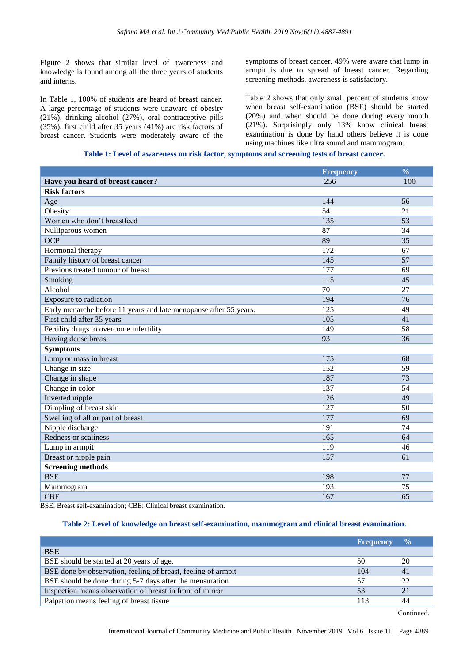Figure 2 shows that similar level of awareness and knowledge is found among all the three years of students and interns.

In Table 1, 100% of students are heard of breast cancer. A large percentage of students were unaware of obesity (21%), drinking alcohol (27%), oral contraceptive pills (35%), first child after 35 years (41%) are risk factors of breast cancer. Students were moderately aware of the symptoms of breast cancer. 49% were aware that lump in armpit is due to spread of breast cancer. Regarding screening methods, awareness is satisfactory.

Table 2 shows that only small percent of students know when breast self-examination (BSE) should be started (20%) and when should be done during every month (21%). Surprisingly only 13% know clinical breast examination is done by hand others believe it is done using machines like ultra sound and mammogram.

#### **Table 1: Level of awareness on risk factor, symptoms and screening tests of breast cancer.**

|                                                                   | <b>Frequency</b> | $\frac{0}{0}$   |
|-------------------------------------------------------------------|------------------|-----------------|
| Have you heard of breast cancer?                                  | 256              | 100             |
| <b>Risk factors</b>                                               |                  |                 |
| Age                                                               | 144              | $\overline{56}$ |
| Obesity                                                           | 54               | 21              |
| Women who don't breastfeed                                        | 135              | 53              |
| Nulliparous women                                                 | 87               | 34              |
| <b>OCP</b>                                                        | 89               | 35              |
| Hormonal therapy                                                  | 172              | 67              |
| Family history of breast cancer                                   | 145              | 57              |
| Previous treated tumour of breast                                 | 177              | 69              |
| Smoking                                                           | 115              | 45              |
| Alcohol                                                           | 70               | 27              |
| Exposure to radiation                                             | 194              | 76              |
| Early menarche before 11 years and late menopause after 55 years. | 125              | 49              |
| First child after 35 years                                        | 105              | 41              |
| Fertility drugs to overcome infertility                           | 149              | 58              |
| Having dense breast                                               | 93               | 36              |
| <b>Symptoms</b>                                                   |                  |                 |
| Lump or mass in breast                                            | 175              | 68              |
| Change in size                                                    | 152              | 59              |
| Change in shape                                                   | 187              | 73              |
| Change in color                                                   | 137              | 54              |
| Inverted nipple                                                   | 126              | 49              |
| Dimpling of breast skin                                           | 127              | 50              |
| Swelling of all or part of breast                                 | 177              | 69              |
| Nipple discharge                                                  | 191              | 74              |
| Redness or scaliness                                              | 165              | 64              |
| Lump in armpit                                                    | 119              | 46              |
| Breast or nipple pain                                             | 157              | 61              |
| <b>Screening methods</b>                                          |                  |                 |
| <b>BSE</b>                                                        | 198              | 77              |
| Mammogram                                                         | 193              | 75              |
| <b>CBE</b>                                                        | 167              | 65              |

BSE: Breast self-examination; CBE: Clinical breast examination.

# **Table 2: Level of knowledge on breast self-examination, mammogram and clinical breast examination.**

|                                                               | <b>Frequency</b> | $\frac{0}{0}$ |
|---------------------------------------------------------------|------------------|---------------|
| <b>BSE</b>                                                    |                  |               |
| BSE should be started at 20 years of age.                     | 50               | 20            |
| BSE done by observation, feeling of breast, feeling of armpit | 104              | 41            |
| BSE should be done during 5-7 days after the mensuration      |                  | 22            |
| Inspection means observation of breast in front of mirror     | 53               | 21            |
| Palpation means feeling of breast tissue                      |                  | 44            |

Continued.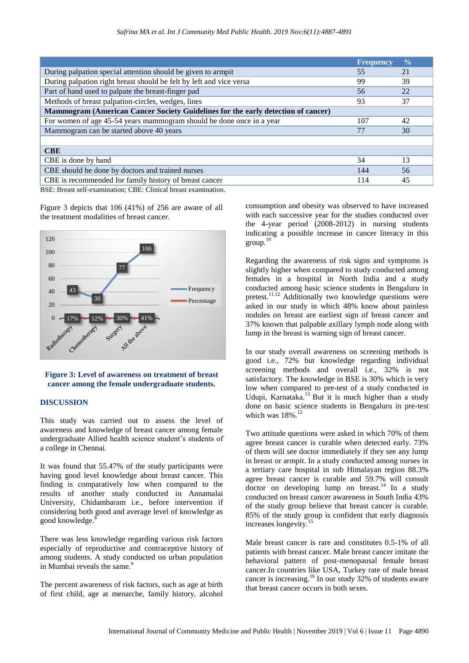|                                                                                  | <b>Frequency</b> | $\frac{0}{0}$ |
|----------------------------------------------------------------------------------|------------------|---------------|
| During palpation special attention should be given to armpit                     | 55               | 21            |
| During palpation right breast should be felt by left and vice versa              | 99               | 39            |
| Part of hand used to palpate the breast-finger pad                               | 56               | 22            |
| Methods of breast palpation-circles, wedges, lines                               | 93               | 37            |
| Mammogram (American Cancer Society Guidelines for the early detection of cancer) |                  |               |
| For women of age 45-54 years mammogram should be done once in a year             | 107              | 42            |
| Mammogram can be started above 40 years                                          | 77               | 30            |
|                                                                                  |                  |               |
| <b>CBE</b>                                                                       |                  |               |
| CBE is done by hand                                                              | 34               | 13            |
| CBE should be done by doctors and trained nurses                                 | 144              | 56            |
| CBE is recommended for family history of breast cancer                           | 114              | 45            |
|                                                                                  |                  |               |

BSE: Breast self-examination; CBE: Clinical breast examination.

Figure 3 depicts that 106 (41%) of 256 are aware of all the treatment modalities of breast cancer.



## **Figure 3: Level of awareness on treatment of breast cancer among the female undergraduate students.**

## **DISCUSSION**

This study was carried out to assess the level of awareness and knowledge of breast cancer among female undergraduate Allied health science student's students of a college in Chennai.

It was found that 55.47% of the study participants were having good level knowledge about breast cancer. This finding is comparatively low when compared to the results of another study conducted in Annamalai University, Chidambaram i.e., before intervention if considering both good and average level of knowledge as good knowledge.<sup>8</sup>

There was less knowledge regarding various risk factors especially of reproductive and contraceptive history of among students. A study conducted on urban population in Mumbai reveals the same.<sup>9</sup>

The percent awareness of risk factors, such as age at birth of first child, age at menarche, family history, alcohol consumption and obesity was observed to have increased with each successive year for the studies conducted over the 4-year period (2008-2012) in nursing students indicating a possible increase in cancer literacy in this group.<sup>10</sup>

Regarding the awareness of risk signs and symptoms is slightly higher when compared to study conducted among females in a hospital in North India and a study conducted among basic science students in Bengaluru in pretest.<sup>11,12</sup> Additionally two knowledge questions were asked in our study in which 48% know about painless nodules on breast are earliest sign of breast cancer and 37% known that palpable axillary lymph node along with lump in the breast is warning sign of breast cancer.

In our study overall awareness on screening methods is good i.e., 72% but knowledge regarding individual screening methods and overall i.e., 32% is not satisfactory. The knowledge in BSE is 30% which is very low when compared to pre-test of a study conducted in Udupi, Karnataka.<sup>13</sup> But it is much higher than a study done on basic science students in Bengaluru in pre-test which was  $18\%$ .<sup>12</sup>

Two attitude questions were asked in which 70% of them agree breast cancer is curable when detected early. 73% of them will see doctor immediately if they see any lump in breast or armpit. In a study conducted among nurses in a tertiary care hospital in sub Himalayan region 88.3% agree breast cancer is curable and 59.7% will consult  $\phi$  doctor on developing lump on breast.<sup>14</sup> In a study conducted on breast cancer awareness in South India 43% of the study group believe that breast cancer is curable. 85% of the study group is confident that early diagnosis increases longevity.<sup>15</sup>

Male breast cancer is rare and constitutes 0.5-1% of all patients with breast cancer. Male breast cancer imitate the behavioral pattern of post-menopausal female breast cancer.In countries like USA, Turkey rate of male breast cancer is increasing.<sup>16</sup> In our study 32% of students aware that breast cancer occurs in both sexes.